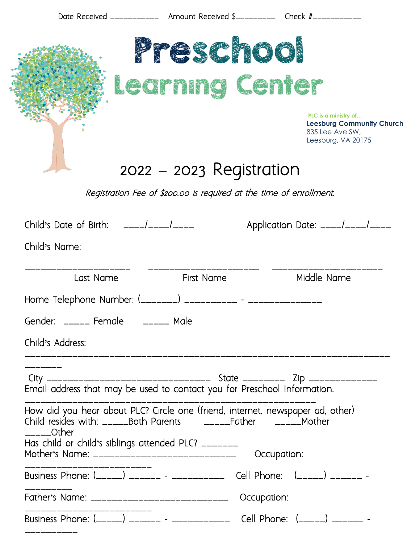| Date Received ______________ Amount Received \$____________ Check #______________           |                              |             |                                                                                                   |
|---------------------------------------------------------------------------------------------|------------------------------|-------------|---------------------------------------------------------------------------------------------------|
|                                                                                             | Preschool<br>Learning Center |             |                                                                                                   |
|                                                                                             |                              |             | PLC is a ministry of<br><b>Leesburg Community Church</b><br>835 Lee Ave SW,<br>Leesburg, VA 20175 |
|                                                                                             | 2022 – 2023 Registration     |             |                                                                                                   |
| Registration Fee of \$200.00 is reguired at the time of enrollment.                         |                              |             |                                                                                                   |
| Child's Date of Birth: ____/____/____                                                       |                              |             | Application Date: ____/____/____                                                                  |
| Child's Name:                                                                               |                              |             |                                                                                                   |
| Last Name                                                                                   | First Name                   |             | Middle Name                                                                                       |
| Home Telephone Number: (________) ___________ - __________                                  |                              |             |                                                                                                   |
| Gender: _____ Female ______ Male                                                            |                              |             |                                                                                                   |
| Child's Address:                                                                            |                              |             |                                                                                                   |
|                                                                                             |                              |             |                                                                                                   |
| How did you hear about PLC? Circle one (friend, internet, newspaper ad, other)<br>____Other |                              |             |                                                                                                   |
| Has child or child's siblings attended PLC? _______                                         |                              |             |                                                                                                   |
|                                                                                             |                              | Occupation: |                                                                                                   |
| Business Phone: (_____) ______ - __________ Cell Phone: (_____) ______ -                    |                              |             |                                                                                                   |
| Father's Name: ______________________________                                               |                              | Occupation: |                                                                                                   |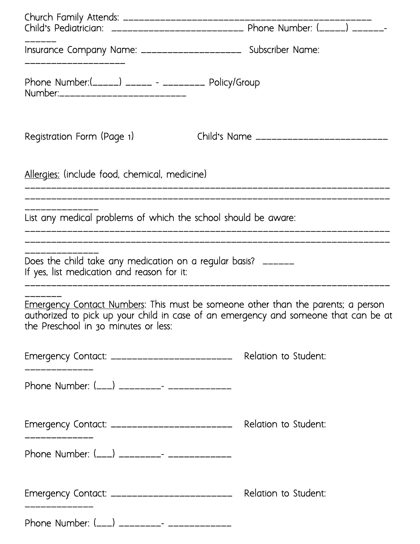|                                                                                                             | Child's Pediatrician: _____________________________ Phone Number: (_____) _______<br>Insurance Company Name: _____________________ Subscriber Name:                             |  |  |  |
|-------------------------------------------------------------------------------------------------------------|---------------------------------------------------------------------------------------------------------------------------------------------------------------------------------|--|--|--|
|                                                                                                             |                                                                                                                                                                                 |  |  |  |
| Phone Number:(_____) _____ - _________ Policy/Group<br>Number:___________________________                   |                                                                                                                                                                                 |  |  |  |
| Registration Form (Page 1)                                                                                  | Child's Name ________________________                                                                                                                                           |  |  |  |
| Allergies: (include food, chemical, medicine)                                                               |                                                                                                                                                                                 |  |  |  |
| List any medical problems of which the school should be aware:                                              |                                                                                                                                                                                 |  |  |  |
| Does the child take any medication on a regular basis? ______<br>If yes, list medication and reason for it: | ___________________________________                                                                                                                                             |  |  |  |
| the Preschool in 30 minutes or less:                                                                        | <u>Emergency Contact Numbers</u> : This must be someone other than the parents; a person<br>authorized to pick up your child in case of an emergency and someone that can be at |  |  |  |
| _____________                                                                                               | Emergency Contact: ___________________________ Relation to Student:                                                                                                             |  |  |  |
| Phone Number: (___) _________- ______________                                                               |                                                                                                                                                                                 |  |  |  |
| _____________                                                                                               | Emergency Contact: ___________________________ Relation to Student:                                                                                                             |  |  |  |
| Phone Number: (___) _________- _____________                                                                |                                                                                                                                                                                 |  |  |  |
| ____________                                                                                                | Emergency Contact: __________________________ Relation to Student:                                                                                                              |  |  |  |
| Phone Number: (___) _________- ______________                                                               |                                                                                                                                                                                 |  |  |  |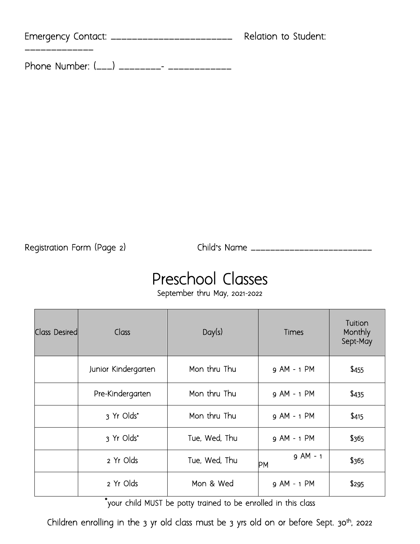| Emergency Contact: __________________________ | Relation to Student: |
|-----------------------------------------------|----------------------|
|                                               |                      |

Phone Number: (\_\_\_) \_\_\_\_\_\_\_\_\_- \_\_\_\_\_\_\_\_\_\_\_\_\_

Registration Form (Page 2)

Registration Form (Page 2) Child**'**s Name \_\_\_\_\_\_\_\_\_\_\_\_\_\_\_\_\_\_\_\_\_\_\_\_\_

## Preschool Classes<br>
September thru May, 2021-2022

| <b>Class Desired</b> | Class               | Day(s)        | Times            | Tuition<br>Monthly<br>Sept-May |
|----------------------|---------------------|---------------|------------------|--------------------------------|
|                      | Junior Kindergarten | Mon thru Thu  | 9 AM - 1 PM      | \$455                          |
|                      | Pre-Kindergarten    | Mon thru Thu  | 9 AM - 1 PM      | \$435                          |
|                      | 3 Yr Olds*          | Mon thru Thu  | 9 AM - 1 PM      | \$415                          |
|                      | 3 Yr Olds*          | Tue, Wed, Thu | 9 AM - 1 PM      | \$365                          |
|                      | 2 Yr Olds           | Tue, Wed, Thu | $9$ AM - 1<br>PМ | \$365                          |
|                      | 2 Yr Olds           | Mon & Wed     | 9 AM - 1 PM      | \$295                          |

\*your child MUST be potty trained to be enrolled in this class

Children enrolling in the 3 yr old class must be 3 yrs old on or before Sept. 30<sup>th</sup>, 2022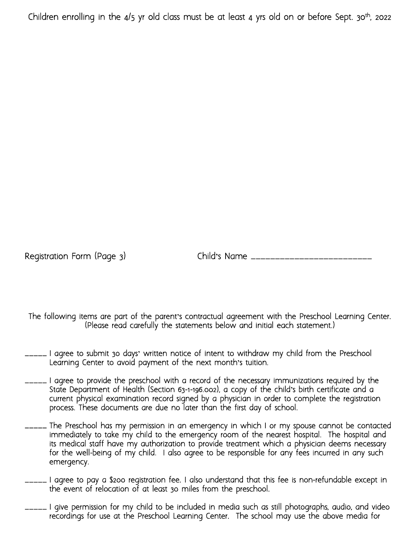Children enrolling in the  $4/5$  yr old class must be at least 4 yrs old on or before Sept.  $30<sup>th</sup>$ , 2022

Registration Form (Page 3) Child's Name \_\_\_\_\_\_\_\_

The following items are part of the parent**'**s contractual agreement with the Preschool Learning Center. (Please read carefully the statements below and initial each statement.)

- \_\_\_\_\_ I agree to submit 30 days**'** written notice of intent to withdraw my child from the Preschool Learning Center to avoid payment of the next month**'**s tuition.
- I agree to provide the preschool with a record of the necessary immunizations required by the State Department of Health (Section 63-1-196.002), a copy of the child**'**s birth certificate and a current physical examination record signed by a physician in order to complete the registration process. These documents are due no later than the first day of school.
- The Preschool has my permission in an emergency in which I or my spouse cannot be contacted immediately to take my child to the emergency room of the nearest hospital. The hospital and its medical staff have my authorization to provide treatment which a physician deems necessary for the well-being of my child. I also agree to be responsible for any fees incurred in any such emergency.
- \_\_\_\_\_ I agree to pay a \$200 registration fee. I also understand that this fee is non-refundable except in the event of relocation of at least 30 miles from the preschool.
- I give permission for my child to be included in media such as still photographs, audio, and video recordings for use at the Preschool Learning Center. The school may use the above media for